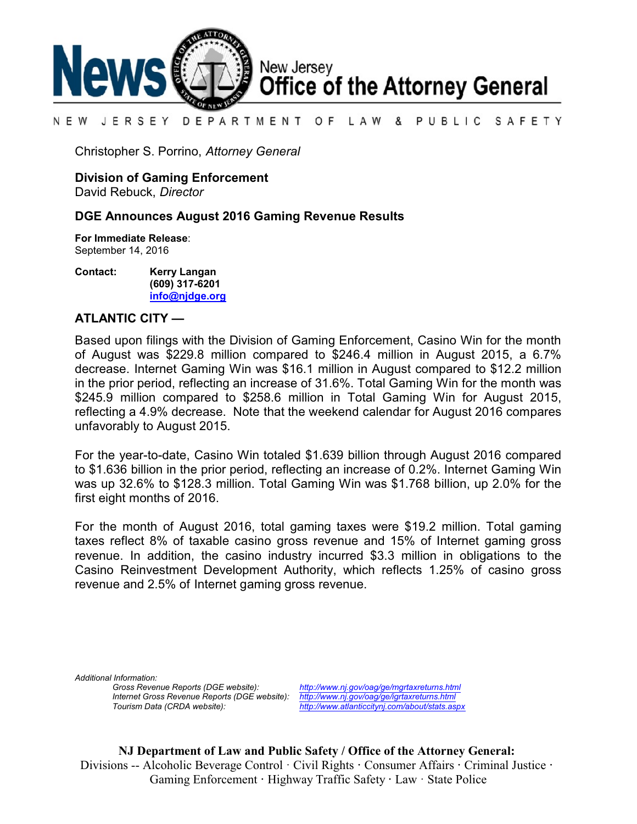

#### N E W JERSEY DEPARTMENT OF LAW & PUBLIC SAFETY

Christopher S. Porrino, *Attorney General*

# **Division of Gaming Enforcement**

David Rebuck, *Director*

## **DGE Announces August 2016 Gaming Revenue Results**

**For Immediate Release**: September 14, 2016

**Contact: Kerry Langan (609) 317-6201 [info@njdge.org](file:///|//info@njdge.org)**

# **ATLANTIC CITY —**

Based upon filings with the Division of Gaming Enforcement, Casino Win for the month of August was \$229.8 million compared to \$246.4 million in August 2015, a 6.7% decrease. Internet Gaming Win was \$16.1 million in August compared to \$12.2 million in the prior period, reflecting an increase of 31.6%. Total Gaming Win for the month was \$245.9 million compared to \$258.6 million in Total Gaming Win for August 2015, reflecting a 4.9% decrease. Note that the weekend calendar for August 2016 compares unfavorably to August 2015.

For the year-to-date, Casino Win totaled \$1.639 billion through August 2016 compared to \$1.636 billion in the prior period, reflecting an increase of 0.2%. Internet Gaming Win was up 32.6% to \$128.3 million. Total Gaming Win was \$1.768 billion, up 2.0% for the first eight months of 2016.

For the month of August 2016, total gaming taxes were \$19.2 million. Total gaming taxes reflect 8% of taxable casino gross revenue and 15% of Internet gaming gross revenue. In addition, the casino industry incurred \$3.3 million in obligations to the Casino Reinvestment Development Authority, which reflects 1.25% of casino gross revenue and 2.5% of Internet gaming gross revenue.

*Additional Information:*

*Gross Revenue Reports (DGE website): <http://www.nj.gov/oag/ge/mgrtaxreturns.html> Internet Gross Revenue Reports (DGE website):*<br>Tourism Data (CRDA website):

*Tourism Data (CRDA website): <http://www.atlanticcitynj.com/about/stats.aspx>*

**NJ Department of Law and Public Safety / Office of the Attorney General:** Divisions -- Alcoholic Beverage Control · Civil Rights **·** Consumer Affairs **·** Criminal Justice **·**  Gaming Enforcement **·** Highway Traffic Safety **·** Law · State Police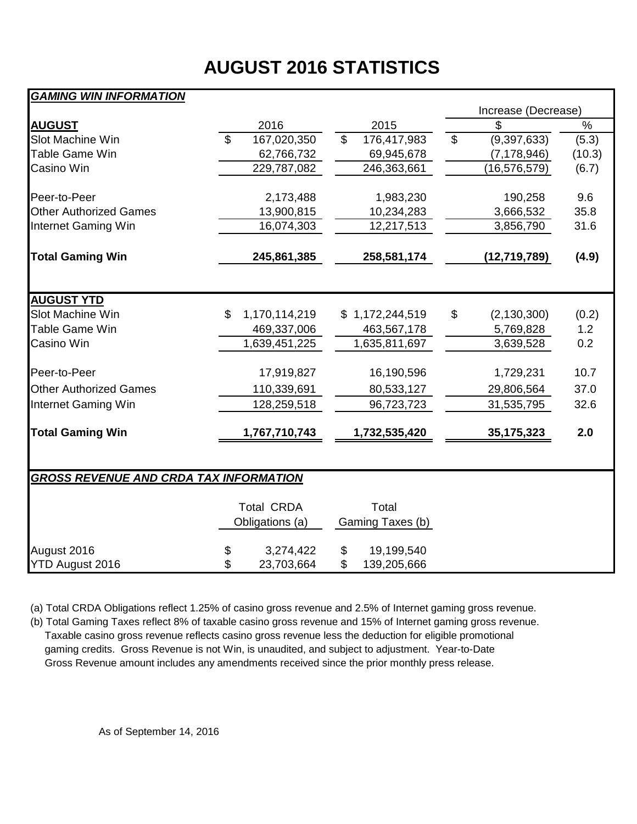# **AUGUST 2016 STATISTICS**

# *GAMING WIN INFORMATION*

|                                               |                |                   |                |                  | Increase (Decrease) |                |               |  |  |  |  |  |
|-----------------------------------------------|----------------|-------------------|----------------|------------------|---------------------|----------------|---------------|--|--|--|--|--|
| <b>AUGUST</b>                                 |                | 2016              |                | 2015             |                     | \$             | $\frac{1}{2}$ |  |  |  |  |  |
| Slot Machine Win                              | $\mathfrak{L}$ | 167,020,350       | $\mathfrak{L}$ | 176,417,983      | $\mathfrak{S}$      | (9, 397, 633)  | (5.3)         |  |  |  |  |  |
| Table Game Win                                |                | 62,766,732        |                | 69,945,678       |                     | (7, 178, 946)  | (10.3)        |  |  |  |  |  |
| Casino Win                                    |                | 229,787,082       |                | 246,363,661      |                     | (16, 576, 579) | (6.7)         |  |  |  |  |  |
| Peer-to-Peer                                  |                | 2,173,488         |                | 1,983,230        |                     | 190,258        | 9.6           |  |  |  |  |  |
| <b>Other Authorized Games</b>                 |                | 13,900,815        |                | 10,234,283       |                     | 3,666,532      | 35.8          |  |  |  |  |  |
| Internet Gaming Win                           |                | 16,074,303        |                | 12,217,513       |                     | 3,856,790      | 31.6          |  |  |  |  |  |
| <b>Total Gaming Win</b>                       |                | 245,861,385       |                | 258,581,174      |                     | (12,719,789)   | (4.9)         |  |  |  |  |  |
|                                               |                |                   |                |                  |                     |                |               |  |  |  |  |  |
| <b>AUGUST YTD</b>                             |                |                   |                |                  |                     |                |               |  |  |  |  |  |
| Slot Machine Win                              | \$.            | 1,170,114,219     |                | \$1,172,244,519  | \$                  | (2, 130, 300)  | (0.2)         |  |  |  |  |  |
| Table Game Win                                |                | 469,337,006       |                | 463,567,178      |                     | 5,769,828      | 1.2           |  |  |  |  |  |
| Casino Win                                    |                | 1,639,451,225     |                | 1,635,811,697    |                     | 3,639,528      | 0.2           |  |  |  |  |  |
| Peer-to-Peer                                  |                | 17,919,827        |                | 16,190,596       |                     | 1,729,231      | 10.7          |  |  |  |  |  |
| <b>Other Authorized Games</b>                 |                | 110,339,691       |                | 80,533,127       |                     | 29,806,564     | 37.0          |  |  |  |  |  |
| Internet Gaming Win                           |                | 128,259,518       |                | 96,723,723       |                     | 31,535,795     | 32.6          |  |  |  |  |  |
| <b>Total Gaming Win</b>                       |                | 1,767,710,743     |                | 1,732,535,420    |                     | 35, 175, 323   | 2.0           |  |  |  |  |  |
|                                               |                |                   |                |                  |                     |                |               |  |  |  |  |  |
| <b>GROSS REVENUE AND CRDA TAX INFORMATION</b> |                |                   |                |                  |                     |                |               |  |  |  |  |  |
|                                               |                | <b>Total CRDA</b> |                | Total            |                     |                |               |  |  |  |  |  |
|                                               |                | Obligations (a)   |                | Gaming Taxes (b) |                     |                |               |  |  |  |  |  |
| August 2016                                   | \$             | 3,274,422         | \$             | 19,199,540       |                     |                |               |  |  |  |  |  |
| YTD August 2016                               |                | 23,703,664        | \$             | 139,205,666      |                     |                |               |  |  |  |  |  |

(a) Total CRDA Obligations reflect 1.25% of casino gross revenue and 2.5% of Internet gaming gross revenue.

(b) Total Gaming Taxes reflect 8% of taxable casino gross revenue and 15% of Internet gaming gross revenue. Taxable casino gross revenue reflects casino gross revenue less the deduction for eligible promotional gaming credits. Gross Revenue is not Win, is unaudited, and subject to adjustment. Year-to-Date Gross Revenue amount includes any amendments received since the prior monthly press release.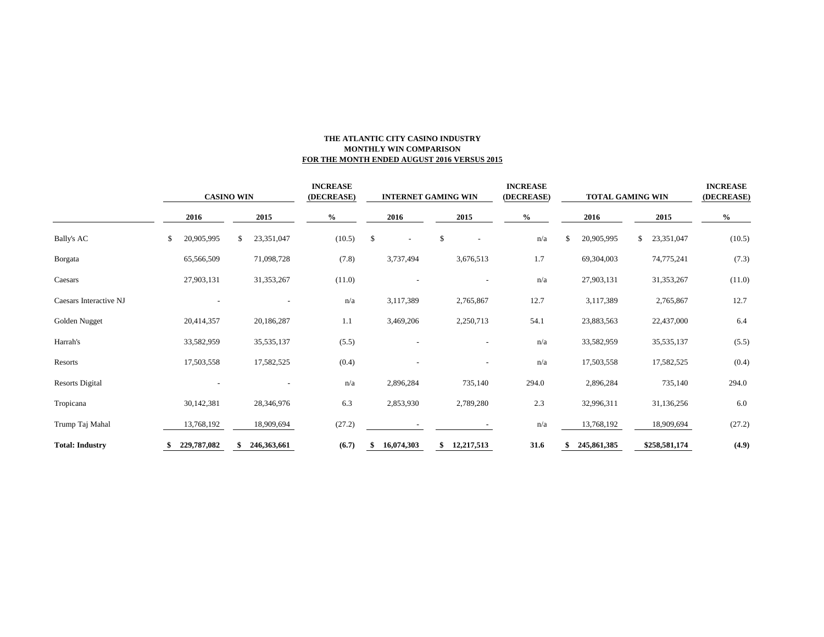### **THE ATLANTIC CITY CASINO INDUSTRY MONTHLY WIN COMPARISON FOR THE MONTH ENDED AUGUST 2016 VERSUS 2015**

|                        | <b>CASINO WIN</b> |    |             |      | <b>INCREASE</b><br>(DECREASE) |      | <b>INTERNET GAMING WIN</b> |      | (DECREASE)               | <b>INCREASE</b> | <b>TOTAL GAMING WIN</b> |      |             |      | <b>INCREASE</b><br>(DECREASE) |        |  |
|------------------------|-------------------|----|-------------|------|-------------------------------|------|----------------------------|------|--------------------------|-----------------|-------------------------|------|-------------|------|-------------------------------|--------|--|
|                        | 2016              |    | 2015        | $\%$ |                               | 2016 |                            | 2015 |                          | $\%$            |                         | 2016 |             | 2015 |                               | $\%$   |  |
| <b>Bally's AC</b>      | \$<br>20,905,995  | \$ | 23,351,047  |      | (10.5)                        | \$   | $\overline{\phantom{a}}$   | \$   | $\qquad \qquad -$        |                 | n/a                     |      | 20,905,995  | \$   | 23,351,047                    | (10.5) |  |
| Borgata                | 65,566,509        |    | 71,098,728  |      | (7.8)                         |      | 3,737,494                  |      | 3,676,513                |                 | 1.7                     |      | 69,304,003  |      | 74,775,241                    | (7.3)  |  |
| Caesars                | 27,903,131        |    | 31,353,267  |      | (11.0)                        |      |                            |      |                          |                 | n/a                     |      | 27,903,131  |      | 31,353,267                    | (11.0) |  |
| Caesars Interactive NJ |                   |    |             |      | n/a                           |      | 3,117,389                  |      | 2,765,867                |                 | 12.7                    |      | 3,117,389   |      | 2,765,867                     | 12.7   |  |
| Golden Nugget          | 20,414,357        |    | 20,186,287  |      | 1.1                           |      | 3,469,206                  |      | 2,250,713                |                 | 54.1                    |      | 23,883,563  |      | 22,437,000                    | 6.4    |  |
| Harrah's               | 33,582,959        |    | 35,535,137  |      | (5.5)                         |      |                            |      | $\overline{\phantom{a}}$ |                 | n/a                     |      | 33,582,959  |      | 35,535,137                    | (5.5)  |  |
| Resorts                | 17,503,558        |    | 17,582,525  |      | (0.4)                         |      |                            |      |                          |                 | n/a                     |      | 17,503,558  |      | 17,582,525                    | (0.4)  |  |
| <b>Resorts Digital</b> |                   |    |             |      | n/a                           |      | 2,896,284                  |      | 735,140                  |                 | 294.0                   |      | 2,896,284   |      | 735,140                       | 294.0  |  |
| Tropicana              | 30,142,381        |    | 28,346,976  |      | 6.3                           |      | 2,853,930                  |      | 2,789,280                |                 | 2.3                     |      | 32,996,311  |      | 31,136,256                    | 6.0    |  |
| Trump Taj Mahal        | 13,768,192        |    | 18,909,694  |      | (27.2)                        |      |                            |      |                          |                 | n/a                     |      | 13,768,192  |      | 18,909,694                    | (27.2) |  |
| <b>Total: Industry</b> | 229,787,082       |    | 246,363,661 |      | (6.7)                         |      | 16,074,303                 | \$   | 12,217,513               |                 | 31.6                    |      | 245,861,385 |      | \$258,581,174                 | (4.9)  |  |